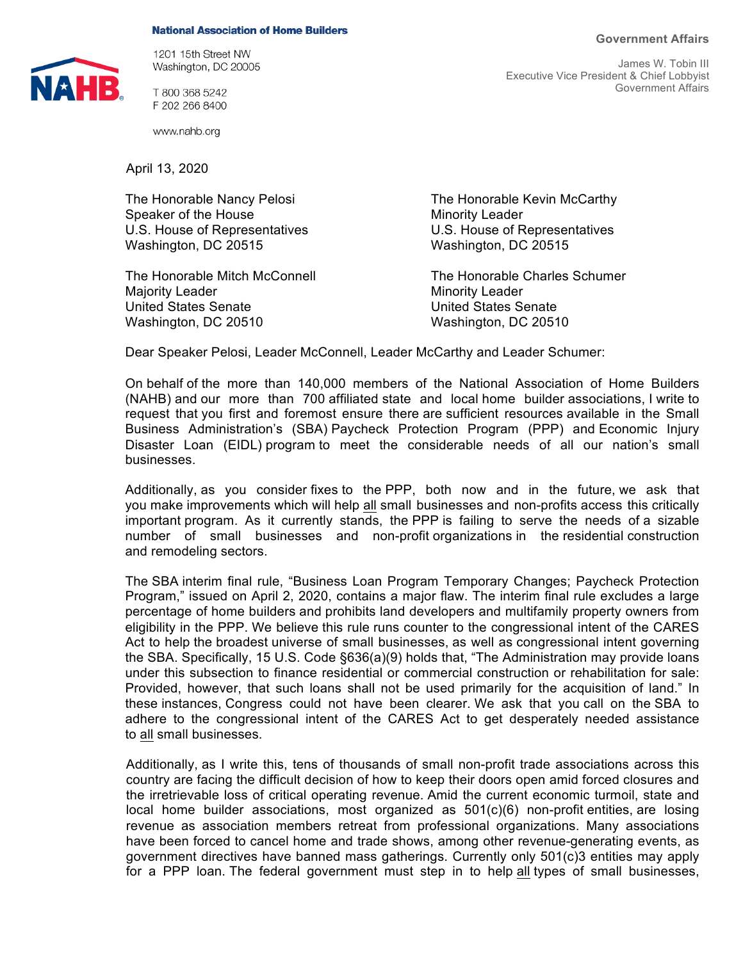## **Government Affairs**

## **National Association of Home Builders**



1201 15th Street NW Washington, DC 20005

T 800 368 5242 F 202 266 8400

www.nahb.org

April 13, 2020

The Honorable Nancy Pelosi **The Honorable Kevin McCarthy** Speaker of the House Minority Leader Washington, DC 20515 Washington, DC 20515

Majority Leader **Minority Leader** Minority Leader United States Senate United States Senate Washington, DC 20510 Washington, DC 20510

James W. Tobin III Executive Vice President & Chief Lobbyist Government Affairs

U.S. House of Representatives U.S. House of Representatives

The Honorable Mitch McConnell The Honorable Charles Schumer

Dear Speaker Pelosi, Leader McConnell, Leader McCarthy and Leader Schumer:

On behalf of the more than 140,000 members of the National Association of Home Builders (NAHB) and our more than 700 affiliated state and local home builder associations, I write to request that you first and foremost ensure there are sufficient resources available in the Small Business Administration's (SBA) Paycheck Protection Program (PPP) and Economic Injury Disaster Loan (EIDL) program to meet the considerable needs of all our nation's small businesses.

Additionally, as you consider fixes to the PPP, both now and in the future, we ask that you make improvements which will help all small businesses and non-profits access this critically important program. As it currently stands, the PPP is failing to serve the needs of a sizable number of small businesses and non-profit organizations in the residential construction and remodeling sectors.

The SBA interim final rule, "Business Loan Program Temporary Changes; Paycheck Protection Program," issued on April 2, 2020, contains a major flaw. The interim final rule excludes a large percentage of home builders and prohibits land developers and multifamily property owners from eligibility in the PPP. We believe this rule runs counter to the congressional intent of the CARES Act to help the broadest universe of small businesses, as well as congressional intent governing the SBA. Specifically, 15 U.S. Code §636(a)(9) holds that, "The Administration may provide loans under this subsection to finance residential or commercial construction or rehabilitation for sale: Provided, however, that such loans shall not be used primarily for the acquisition of land." In these instances, Congress could not have been clearer. We ask that you call on the SBA to adhere to the congressional intent of the CARES Act to get desperately needed assistance to all small businesses.

Additionally, as I write this, tens of thousands of small non-profit trade associations across this country are facing the difficult decision of how to keep their doors open amid forced closures and the irretrievable loss of critical operating revenue. Amid the current economic turmoil, state and local home builder associations, most organized as 501(c)(6) non-profit entities, are losing revenue as association members retreat from professional organizations. Many associations have been forced to cancel home and trade shows, among other revenue-generating events, as government directives have banned mass gatherings. Currently only 501(c)3 entities may apply for a PPP loan. The federal government must step in to help all types of small businesses,